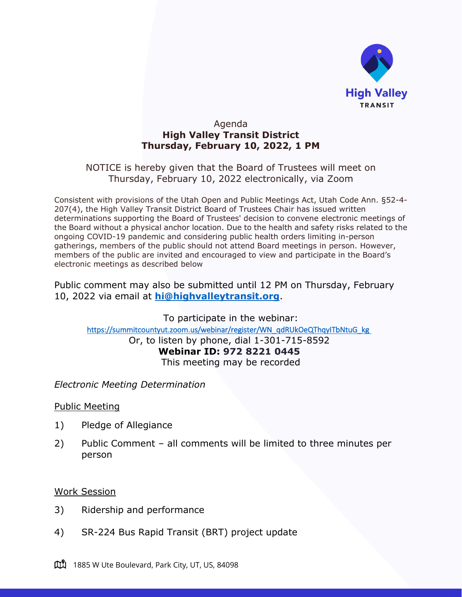

## Agenda **High Valley Transit District Thursday, February 10, 2022, 1 PM**

# NOTICE is hereby given that the Board of Trustees will meet on Thursday, February 10, 2022 electronically, via Zoom

Consistent with provisions of the Utah Open and Public Meetings Act, Utah Code Ann. §52-4- 207(4), the High Valley Transit District Board of Trustees Chair has issued written determinations supporting the Board of Trustees' decision to convene electronic meetings of the Board without a physical anchor location. Due to the health and safety risks related to the ongoing COVID-19 pandemic and considering public health orders limiting in-person gatherings, members of the public should not attend Board meetings in person. However, members of the public are invited and encouraged to view and participate in the Board's electronic meetings as described below

Public comment may also be submitted until 12 PM on Thursday, February 10, 2022 via email at **[hi@highvalleytransit.org](mailto:hi@highvalleytransit.org)**.

To participate in the webinar: https://summitcountyut.zoom.us/webinar/register/WN\_qdRUkOeQThqyITbNtuG\_kg Or, to listen by phone, dial 1-301-715-8592 **Webinar ID: 972 8221 0445** This meeting may be recorded

## *Electronic Meeting Determination*

#### Public Meeting

- 1) Pledge of Allegiance
- 2) Public Comment all comments will be limited to three minutes per person

#### Work Session

- 3) Ridership and performance
- 4) SR-224 Bus Rapid Transit (BRT) project update